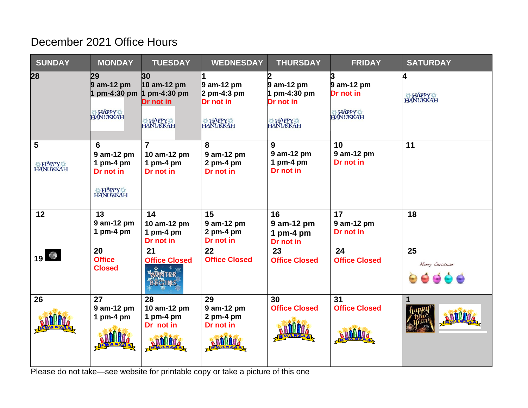## December 2021 Office Hours

| <b>SUNDAY</b>                       | <b>MONDAY</b>                                                               | <b>TUESDAY</b>                                                            | <b>WEDNESDAY</b>                                            | <b>THURSDAY</b>                                  | <b>FRIDAY</b>                                               | <b>SATURDAY</b>       |
|-------------------------------------|-----------------------------------------------------------------------------|---------------------------------------------------------------------------|-------------------------------------------------------------|--------------------------------------------------|-------------------------------------------------------------|-----------------------|
| 28                                  | 29<br>$9$ am-12 pm<br>HAPPY                                                 | 30<br>$10$ am-12 pm<br>pm-4:30 pm $ 1$ pm-4:30 pm<br>Dr not in<br>HAPPY & | $9$ am-12 pm<br>2 pm-4:3 pm<br>Dr not in<br>HAPPY           | 9 am-12 pm<br>1 pm-4:30 pm<br>Dr not in<br>HAPPY | $9$ am-12 pm<br>Dr not in<br><b>HAPPY &amp; HAPPY &amp;</b> | 4<br>HAPPY            |
| 5<br><b>HAPPY &amp;</b><br>HANUKKAH | 6<br>9 am-12 pm<br>1 pm-4 pm<br>Dr not in<br><b>HAPPY &amp;</b><br>HANUKKAH | $\overline{7}$<br>10 am-12 pm<br>1 pm-4 pm<br>Dr not in                   | 8<br>9 am-12 pm<br>$2$ pm-4 pm<br>Dr not in                 | 9<br>9 am-12 pm<br>1 pm-4 pm<br>Dr not in        | 10<br>9 am-12 pm<br>Dr not in                               | 11                    |
| 12                                  | 13<br>9 am-12 pm<br>1 pm-4 pm                                               | 14<br>10 am-12 pm<br>1 pm-4 pm<br>Dr not in                               | 15<br>9 am-12 pm<br>$2$ pm-4 pm<br>Dr not in                | 16<br>9 am-12 pm<br>1 pm-4 pm<br>Dr not in       | 17<br>9 am-12 pm<br>Dr not in                               | 18                    |
| $19$ $\odot$                        | 20<br><b>Office</b><br><b>Closed</b>                                        | 21<br><b>Office Closed</b><br><b>NTER</b><br><b>BEGINS</b>                | 22<br><b>Office Closed</b>                                  | 23<br><b>Office Closed</b>                       | 24<br><b>Office Closed</b>                                  | 25<br>Merry Christmas |
| 26                                  | 27<br>9 am-12 pm<br>1 pm-4 pm                                               | 28<br>10 am-12 pm<br>1 pm-4 pm<br>Dr not in<br><b>ANMA</b>                | 29<br>9 am-12 pm<br>$2$ pm-4 pm<br>Dr not in<br><b>ANNA</b> | 30<br><b>Office Closed</b>                       | 31<br><b>Office Closed</b>                                  | 1<br><b>ANII</b>      |

Please do not take—see website for printable copy or take a picture of this one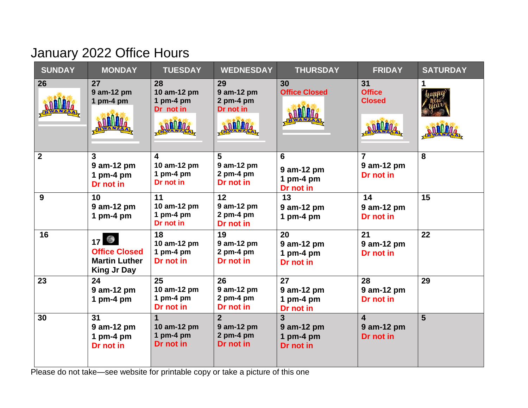## January 2022 Office Hours

| <b>SUNDAY</b>           | <b>MONDAY</b>                                                            | <b>TUESDAY</b>                                                | <b>WEDNESDAY</b>                                             | <b>THURSDAY</b>                            | <b>FRIDAY</b>                                      | <b>SATURDAY</b> |
|-------------------------|--------------------------------------------------------------------------|---------------------------------------------------------------|--------------------------------------------------------------|--------------------------------------------|----------------------------------------------------|-----------------|
| 26                      | 27<br>9 am-12 pm<br>1 pm-4 pm                                            | 28<br>10 am-12 pm<br>1 pm-4 pm<br>Dr not in<br><b>ANNINA</b>  | 29<br>9 am-12 pm<br>$2$ pm-4 pm<br>Dr not in<br><b>ANNIA</b> | 30<br><b>Office Closed</b>                 | 31<br><b>Office</b><br><b>Closed</b>               |                 |
| $\overline{\mathbf{2}}$ | 3<br>9 am-12 pm<br>1 pm-4 pm<br>Dr not in                                | 4<br>10 am-12 pm<br>1 pm-4 pm<br>Dr not in                    | 5<br>9 am-12 pm<br>$2$ pm-4 pm<br>Dr not in                  | 6<br>9 am-12 pm<br>1 pm-4 pm<br>Dr not in  | $\overline{7}$<br>9 am-12 pm<br>Dr not in          | 8               |
| 9                       | 10<br>9 am-12 pm<br>1 pm-4 pm                                            | 11<br>10 am-12 pm<br>1 pm-4 pm<br>Dr not in                   | 12<br>9 am-12 pm<br>$2$ pm-4 pm<br>Dr not in                 | 13<br>9 am-12 pm<br>1 pm-4 pm              | 14<br>9 am-12 pm<br>Dr not in                      | 15              |
| 16                      | 17<br><b>Office Closed</b><br><b>Martin Luther</b><br><b>King Jr Day</b> | 18<br>10 am-12 pm<br>1 pm-4 pm<br>Dr not in                   | 19<br>9 am-12 pm<br>$2$ pm-4 pm<br>Dr not in                 | 20<br>9 am-12 pm<br>1 pm-4 pm<br>Dr not in | 21<br>9 am-12 pm<br>Dr not in                      | 22              |
| 23                      | 24<br>9 am-12 pm<br>1 pm-4 pm                                            | 25<br>10 am-12 pm<br>1 pm-4 pm<br>Dr not in                   | 26<br>9 am-12 pm<br>$2$ pm-4 pm<br>Dr not in                 | 27<br>9 am-12 pm<br>1 pm-4 pm<br>Dr not in | 28<br>9 am-12 pm<br>Dr not in                      | 29              |
| 30                      | 31<br>9 am-12 pm<br>1 pm-4 pm<br>Dr not in                               | $\blacktriangleleft$<br>10 am-12 pm<br>1 pm-4 pm<br>Dr not in | $\overline{2}$<br>9 am-12 pm<br>$2$ pm-4 pm<br>Dr not in     | 3<br>9 am-12 pm<br>1 pm-4 pm<br>Dr not in  | $\overline{\mathbf{4}}$<br>9 am-12 pm<br>Dr not in | 5               |

Please do not take—see website for printable copy or take a picture of this one